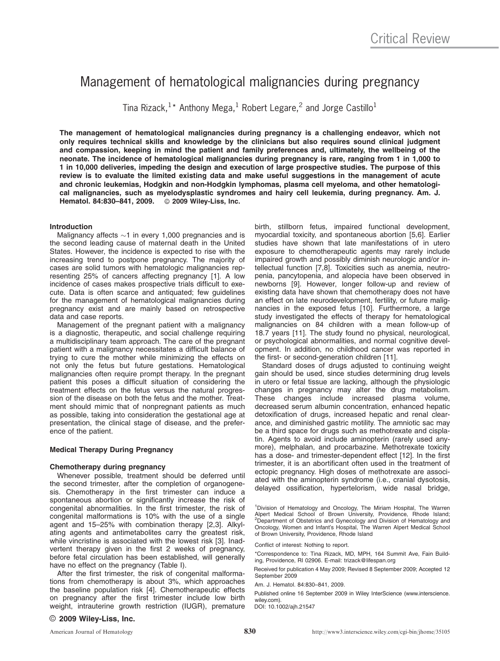# Management of hematological malignancies during pregnancy

Tina Rizack,  $1^*$  Anthony Mega,  $1^1$  Robert Legare,  $2^2$  and Jorge Castillo  $1^1$ 

The management of hematological malignancies during pregnancy is a challenging endeavor, which not only requires technical skills and knowledge by the clinicians but also requires sound clinical judgment and compassion, keeping in mind the patient and family preferences and, ultimately, the wellbeing of the neonate. The incidence of hematological malignancies during pregnancy is rare, ranging from 1 in 1,000 to 1 in 10,000 deliveries, impeding the design and execution of large prospective studies. The purpose of this review is to evaluate the limited existing data and make useful suggestions in the management of acute and chronic leukemias, Hodgkin and non-Hodgkin lymphomas, plasma cell myeloma, and other hematological malignancies, such as myelodysplastic syndromes and hairy cell leukemia, during pregnancy. Am. J. Hematol. 84:830-841, 2009. © 2009 Wiley-Liss, Inc.

#### Introduction

Malignancy affects  $\sim$ 1 in every 1,000 pregnancies and is the second leading cause of maternal death in the United States. However, the incidence is expected to rise with the increasing trend to postpone pregnancy. The majority of cases are solid tumors with hematologic malignancies representing 25% of cancers affecting pregnancy [1]. A low incidence of cases makes prospective trials difficult to execute. Data is often scarce and antiquated; few guidelines for the management of hematological malignancies during pregnancy exist and are mainly based on retrospective data and case reports.

Management of the pregnant patient with a malignancy is a diagnostic, therapeutic, and social challenge requiring a multidisciplinary team approach. The care of the pregnant patient with a malignancy necessitates a difficult balance of trying to cure the mother while minimizing the effects on not only the fetus but future gestations. Hematological malignancies often require prompt therapy. In the pregnant patient this poses a difficult situation of considering the treatment effects on the fetus versus the natural progression of the disease on both the fetus and the mother. Treatment should mimic that of nonpregnant patients as much as possible, taking into consideration the gestational age at presentation, the clinical stage of disease, and the preference of the patient.

## Medical Therapy During Pregnancy

#### Chemotherapy during pregnancy

Whenever possible, treatment should be deferred until the second trimester, after the completion of organogenesis. Chemotherapy in the first trimester can induce a spontaneous abortion or significantly increase the risk of congenital abnormalities. In the first trimester, the risk of congenital malformations is 10% with the use of a single agent and 15–25% with combination therapy [2,3]. Alkylating agents and antimetabolites carry the greatest risk, while vincristine is associated with the lowest risk [3]. Inadvertent therapy given in the first 2 weeks of pregnancy, before fetal circulation has been established, will generally have no effect on the pregnancy (Table I).

After the first trimester, the risk of congenital malformations from chemotherapy is about 3%, which approaches the baseline population risk [4]. Chemotherapeutic effects on pregnancy after the first trimester include low birth weight, intrauterine growth restriction (IUGR), premature

birth, stillborn fetus, impaired functional development, myocardial toxicity, and spontaneous abortion [5,6]. Earlier studies have shown that late manifestations of in utero exposure to chemotherapeutic agents may rarely include impaired growth and possibly diminish neurologic and/or intellectual function [7,8]. Toxicities such as anemia, neutropenia, pancytopenia, and alopecia have been observed in newborns [9]. However, longer follow-up and review of existing data have shown that chemotherapy does not have an effect on late neurodevelopment, fertility, or future malignancies in the exposed fetus [10]. Furthermore, a large study investigated the effects of therapy for hematological malignancies on 84 children with a mean follow-up of 18.7 years [11]. The study found no physical, neurological, or psychological abnormalities, and normal cognitive development. In addition, no childhood cancer was reported in the first- or second-generation children [11].

Standard doses of drugs adjusted to continuing weight gain should be used, since studies determining drug levels in utero or fetal tissue are lacking, although the physiologic changes in pregnancy may alter the drug metabolism. These changes include increased plasma volume, decreased serum albumin concentration, enhanced hepatic detoxification of drugs, increased hepatic and renal clearance, and diminished gastric motility. The amniotic sac may be a third space for drugs such as methotrexate and cisplatin. Agents to avoid include aminopterin (rarely used anymore), melphalan, and procarbazine. Methotrexate toxicity has a dose- and trimester-dependent effect [12]. In the first trimester, it is an abortificant often used in the treatment of ectopic pregnancy. High doses of methotrexate are associated with the aminopterin syndrome (i.e., cranial dysotosis, delayed ossification, hypertelorism, wide nasal bridge,

<sup>1</sup>Division of Hematology and Oncology, The Miriam Hospital, The Warren Alpert Medical School of Brown University, Providence, Rhode Island;<br><sup>2</sup>Department of Obstetrics and Gynecology and Division of Hematology and Oncology, Women and Infant's Hospital, The Warren Alpert Medical School of Brown University, Providence, Rhode Island

Conflict of interest: Nothing to report.

\*Correspondence to: Tina Rizack, MD, MPH, 164 Summit Ave, Fain Building, Providence, RI 02906. E-mail: trizack@lifespan.org

Received for publication 4 May 2009; Revised 8 September 2009; Accepted 12 September 2009

Am. J. Hematol. 84:830–841, 2009.

Published online 16 September 2009 in Wiley InterScience (www.interscience. wiley.com).

DOI: 10.1002/ajh.21547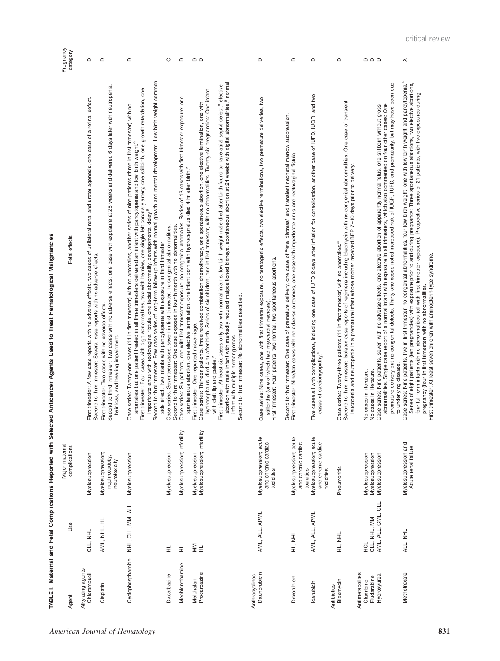| Pregnancy<br>category           | $\supset$<br>≏                                                                                                                                                                                                                                                                                                                                                                                                                    | $\Omega$                                                                                                                                                                          |                                                                                                                                                                                                                                                                                                                                                                                                                                                                                                                                                                                                                                    | O                                                                                                                                                                          | $\mathsf{\Omega}$                                                                                                                                                                                                                                                      | $\Omega$                                                                                                                                                                                                                                                                                                                                                                          |                                                                                                                                                                                                                                                                                                                                                                                                                              | $\mathsf{\Omega}$                                                                                                                                                                                                                                                            | $\mathrel{\mathsf{d}}$                                                                                                                                                                                                            | $\mathsf{\Omega}$                                                                                                                                                                   | $\mathsf{\Omega}$                                                                                                                                                                                                                                                                                                                                 | $\Omega$ $\Omega$                                                                                                                                                                                                                                                                                                                                                                                                                                                                                | $\times$                                                                                                                                                                                                                                                                                                                                                                                                                                                                                                                                                                                                                                 |
|---------------------------------|-----------------------------------------------------------------------------------------------------------------------------------------------------------------------------------------------------------------------------------------------------------------------------------------------------------------------------------------------------------------------------------------------------------------------------------|-----------------------------------------------------------------------------------------------------------------------------------------------------------------------------------|------------------------------------------------------------------------------------------------------------------------------------------------------------------------------------------------------------------------------------------------------------------------------------------------------------------------------------------------------------------------------------------------------------------------------------------------------------------------------------------------------------------------------------------------------------------------------------------------------------------------------------|----------------------------------------------------------------------------------------------------------------------------------------------------------------------------|------------------------------------------------------------------------------------------------------------------------------------------------------------------------------------------------------------------------------------------------------------------------|-----------------------------------------------------------------------------------------------------------------------------------------------------------------------------------------------------------------------------------------------------------------------------------------------------------------------------------------------------------------------------------|------------------------------------------------------------------------------------------------------------------------------------------------------------------------------------------------------------------------------------------------------------------------------------------------------------------------------------------------------------------------------------------------------------------------------|------------------------------------------------------------------------------------------------------------------------------------------------------------------------------------------------------------------------------------------------------------------------------|-----------------------------------------------------------------------------------------------------------------------------------------------------------------------------------------------------------------------------------|-------------------------------------------------------------------------------------------------------------------------------------------------------------------------------------|---------------------------------------------------------------------------------------------------------------------------------------------------------------------------------------------------------------------------------------------------------------------------------------------------------------------------------------------------|--------------------------------------------------------------------------------------------------------------------------------------------------------------------------------------------------------------------------------------------------------------------------------------------------------------------------------------------------------------------------------------------------------------------------------------------------------------------------------------------------|------------------------------------------------------------------------------------------------------------------------------------------------------------------------------------------------------------------------------------------------------------------------------------------------------------------------------------------------------------------------------------------------------------------------------------------------------------------------------------------------------------------------------------------------------------------------------------------------------------------------------------------|
| Fetal effects                   | Second to third trimester: Two cases with no adverse effects; one case with exposure at 26 weeks and delivered 6 days later with neutropenia,<br>First trimester: A few case reports with no adverse effects, two cases of unilateral renal and ureter agenesis, one case of a retinal defect.<br>Second to third trimester: Several case reports with no adverse effects.<br>First trimester: Two cases with no adverse effects. | Case series: Twenty-one cases (11 in first trimester) with no anomalies, another series of nine patients (three in first trimester) with no<br>hair loss, and hearing impairment. | Second to third trimester: Few case series of long-term follow-up infants with normal growth and mental development. Low birth weight common<br>First trimester: Four cases with digit abnormalities, two with hemias, one single left coronary artery, one stillbirth, one growth retardation, one<br>anomalies but one patient treated in all three trimesters delivered an infant with pancytopenia and low birth weight. <sup>a</sup><br>imperforate anus with rectovaginal fistula, one facial abnormality, developmental delay. <sup>a</sup><br>side effect. Two infants with pancytopenia with exposure in third trimester. | Second to third trimester: One case exposed in fourth month with no abnormalities.<br>Case series: Seventeen cases, seven in first trimester, no congenital abnormalities. | Case series: Six patients, one with first trimester exposure, no congenital anomalies. Series of 13 cases with first trimester exposure: one<br>spontaneous abortion, one elective termination, one infant born with hydrocephalus died 4 hr after birth. <sup>ª</sup> | hydrocephalus, died 4 hr after birth. Series of six children, one in first trimester, with no abnormalities. Twenty-six pregnancies: One infant<br>Case series: Thirteen patients, three received combination chemotherapy, one spontaneous abortion, one elective termination, one with<br>First trimester: One reported miscarriage.<br>with cleft lip and palate. <sup>a</sup> | abortion with male infant with markedly reduced malpositioned kidneys, spontaneous abortion at 24 weeks with digital abnormalities, <sup>a</sup> normal<br>First trimester: At least six cases only two with normal infants, low birth weight male died after birth found to have atrial septal defect, <sup>a</sup> elective<br>Second to third trimester: No abnormalities described.<br>infant with multiple hemangiomas. | Case series: Nine cases, one with first trimester exposure, no teratogenic effects, two elective terminations, two premature deliveries, two<br>First trimester: Four patients, two normal, two spontaneous abortions.<br>stillbirths (one of which had myocardial necrosis) | Second to third trimester: One case of premature delivery, one case of "tetal distress" and transient neonatal marrow suppression.<br>First trimester: Nine/ten cases with no adverse outcomes, one case with imperforate anus an | Five cases all with complications, including one case of IUFD 2 days after infusion for consolidation, another case of IUFD, IUGR, and two<br>cases of cardiomyopathy. <sup>a</sup> | Second to third trimester: Isolated case reports of regimens including bleomycin with no congenital abnormalities. One case of transient<br>leucopenia and neutropenia in a premature infant whose mother received BEP 7-10 days prior to delivery.<br>Case series: Twenty-three patients (11 in first trimester) with no anomalies. <sup>a</sup> | premature delivery but no congenital defects. Thirty-one cases noted increased risk of IUGR, IUFD, and prematurity, but may have been due<br>abnormalities. Single case report of a normal infant with exposure in all trimesters, which also commented on four other cases: One<br>Case series: Nine patients, seven with no adverse effects, one elective abortion of apparently normal fetus, one stillborn without gross<br>No cases in literature.<br>cases in literature.<br>$\frac{1}{2}$ | Case series: Nine patients, five in first trimester, no congenital abnormalities, four low birth weight, one with low birth weight and pancytopenia. <sup>8</sup><br>Series of eight patients (ten pregnancies) with exposure prior to and during pregnancy. Three spontaneous abortions, two elective abortions,<br>four full-term infants with no abnormalities (all with first trimester exposure). Prospective series of 21 patients, with five exposures during<br>First trimester: At least seven children with aminopterin-type syndrome.<br>pregnancy (four in first trimester) with no abnormalities.<br>to underlying disease. |
| Major maternal<br>complications | Myelosuppression;<br>Myelosuppression<br>nephrotoxicity;                                                                                                                                                                                                                                                                                                                                                                          | Myelosuppression<br>neurotoxicity                                                                                                                                                 |                                                                                                                                                                                                                                                                                                                                                                                                                                                                                                                                                                                                                                    | Myelosuppression                                                                                                                                                           | Myelosuppression; infertility                                                                                                                                                                                                                                          | Myelosuppression; infertility<br>Myelosuppression                                                                                                                                                                                                                                                                                                                                 |                                                                                                                                                                                                                                                                                                                                                                                                                              | Myelosuppression; acute<br>and chronic cardiac<br>toxicities                                                                                                                                                                                                                 | Myelosuppression; acute<br>and chronic cardiac<br>toxicities                                                                                                                                                                      | Myelosuppression; acute<br>and chronic cardiac<br>toxicities                                                                                                                        | Pneumonitis                                                                                                                                                                                                                                                                                                                                       | Myelosuppression<br>Myelosuppression<br>Myelosuppression                                                                                                                                                                                                                                                                                                                                                                                                                                         | Myelosuppression and<br>Acute renal failure                                                                                                                                                                                                                                                                                                                                                                                                                                                                                                                                                                                              |
| <b>Jse</b>                      | H,<br>AML, NHL,<br>CLL, NHL                                                                                                                                                                                                                                                                                                                                                                                                       | NHL, CLL, MM, ALL                                                                                                                                                                 |                                                                                                                                                                                                                                                                                                                                                                                                                                                                                                                                                                                                                                    | Ŧ                                                                                                                                                                          | Ê                                                                                                                                                                                                                                                                      | MM<br>$\pm$                                                                                                                                                                                                                                                                                                                                                                       |                                                                                                                                                                                                                                                                                                                                                                                                                              | AML, ALL, APML                                                                                                                                                                                                                                                               | HL, NHL                                                                                                                                                                                                                           | AML, ALL, APML                                                                                                                                                                      | HL, NHL                                                                                                                                                                                                                                                                                                                                           | CLL, NHL, MM<br>AML, ALL, CML, CLL<br>로                                                                                                                                                                                                                                                                                                                                                                                                                                                          | ALL, NHL                                                                                                                                                                                                                                                                                                                                                                                                                                                                                                                                                                                                                                 |
| Agent                           | Alkylating agents<br>Chlorambucil<br>Cisplatin                                                                                                                                                                                                                                                                                                                                                                                    | Cyclophosphamide                                                                                                                                                                  |                                                                                                                                                                                                                                                                                                                                                                                                                                                                                                                                                                                                                                    | Dacarbazine                                                                                                                                                                | Mechlorethamine                                                                                                                                                                                                                                                        | Procarbazine<br>Melphalan                                                                                                                                                                                                                                                                                                                                                         |                                                                                                                                                                                                                                                                                                                                                                                                                              | Daunorubicin<br>Anthracyclines                                                                                                                                                                                                                                               | Doxorubicin                                                                                                                                                                                                                       | Idarubicin                                                                                                                                                                          | Bleomycin<br>Antibiotics                                                                                                                                                                                                                                                                                                                          | Antimetabolites<br>Hydroxyurea<br>Fludarabine<br>Cladribine                                                                                                                                                                                                                                                                                                                                                                                                                                      | Methotrexate                                                                                                                                                                                                                                                                                                                                                                                                                                                                                                                                                                                                                             |

TABLE I. Maternal and Fetal Complications Reported with Selected Anticancer Agents Used to Treat Hematological Malignancies TABLE I. Maternal and Fetal Complications Reported with Selected Anticancer Agents Used to Treat Hematological Malignancies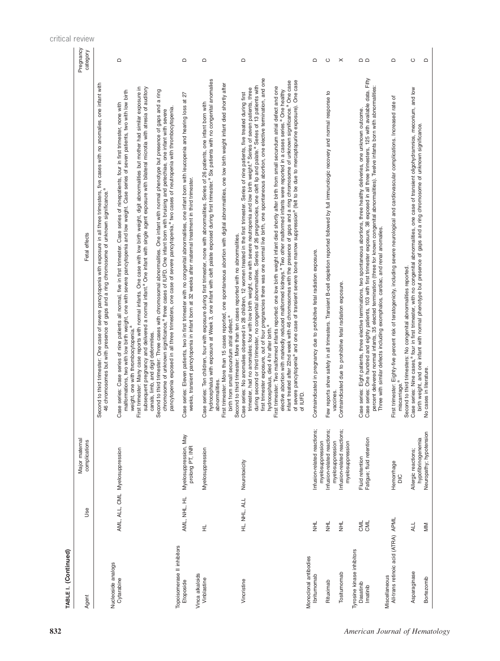| TABLE I. (Continued)                                 |              |                                                                                |                                                                                                                                                                                                                                                                                                                                                                                                                                                                                                                                                                                                                                                                                                                                                                      |                       |
|------------------------------------------------------|--------------|--------------------------------------------------------------------------------|----------------------------------------------------------------------------------------------------------------------------------------------------------------------------------------------------------------------------------------------------------------------------------------------------------------------------------------------------------------------------------------------------------------------------------------------------------------------------------------------------------------------------------------------------------------------------------------------------------------------------------------------------------------------------------------------------------------------------------------------------------------------|-----------------------|
| Agent                                                | <b>Jse</b>   | Major maternal<br>complications                                                | Fetal effects                                                                                                                                                                                                                                                                                                                                                                                                                                                                                                                                                                                                                                                                                                                                                        | Pregnancy<br>category |
| Nucleoside analogs                                   |              |                                                                                | econd to third trimester: One case of severe pancytopenia with exposure in all three trimesters, five cases with no anomalies, one infant with<br>46 chromosomes but with presence of gaps and a ring chromosome of unknown signi<br>ပ                                                                                                                                                                                                                                                                                                                                                                                                                                                                                                                               |                       |
| Cytarabine                                           |              | AML, ALL, CML Myelosuppression                                                 | malformations, two with low birth weight, one with severe pancytopenia and low weight. Case series of seven patients, two with low birth<br>Case series: Case series of nine patients all normal, five in first trimester. Case series of ninepatients, four in first trimester, none with<br>weight, one with thrombocytopenia. <sup>a</sup>                                                                                                                                                                                                                                                                                                                                                                                                                        | ≏                     |
|                                                      |              |                                                                                | rst trimester: Many case reports with normal infants. One case with low birth weight, digit abnormalities but mother had similar exposure in<br>subsequent pregnancy and delivered a normal infant. <sup>a</sup> One infant with single agent exposure with bilateral microtia with atresia of auditory<br>canals, limb, and digit deformities.<br>щ                                                                                                                                                                                                                                                                                                                                                                                                                 |                       |
|                                                      |              |                                                                                | econd to third trimester: Three cases with chromosomal abnormalities. One infant with normal phenotype but presence of gaps and a ring<br>pancytopenia exposed in all three trimesters, one case of severe pancytopenia, <sup>a</sup> two cases of neutropenia with thrombocytopenia<br>chromosome of unknown significance, <sup>a</sup> three cases of IUFD. One infant born with bruising and petechiae, one infant with severe<br>S                                                                                                                                                                                                                                                                                                                               |                       |
| Topoisomerase II inhibitors<br>Etoposide             | AML, NHL, HL | Myelosuppression, May<br>prolong PT, INR                                       | Case series: Eleven patients, two in first trimester with no congenital abnormalities, one infant born with leucopenia and hearing loss at 27<br>weeks, transient pancytopenia in infant born at 32 weeks after maternal treatment in third trimester.                                                                                                                                                                                                                                                                                                                                                                                                                                                                                                               | $\mathsf \Omega$      |
| Vinca alkaloids<br>Vinblastine                       | Ŧ            | Myelosuppression                                                               | hydrocephalus with exposure at Week 3, one infant with deft palate exposed during first trimester. <sup>8</sup> Six patients with no congenital anomalies<br>Case series: Ten children, four with exposure during first trimester, none with abnormalities. Series of 26 patients, one infant born with                                                                                                                                                                                                                                                                                                                                                                                                                                                              | $\Omega$              |
|                                                      |              |                                                                                | rst trimester: More than 15 cases reported, one spontaneous abortion with digital abnormalities, one low birth weight infant died shortly after<br>birth from small secundum atrial defect. <sup>a</sup><br>abnomalities.<br>щ                                                                                                                                                                                                                                                                                                                                                                                                                                                                                                                                       |                       |
| Vincristine                                          | HL, NHL, ALL | Neurotoxicity                                                                  | first trimester exposure, out of four pregnancies there was one normal live birth, one spontaneous abortion, one elective termination, and one<br>hydrocephalus, died 4 hr after birth. <sup>a</sup><br>during second or third trimester, no congenital abnormalities. Series of 26 pregnancies, one cleft lip and palate. <sup>4</sup> Series of 13 patients with<br>trimester, had no anomalies: four with low birth weight, one with severe neutropenia and low birth weight. <sup>8</sup> Series of seven patients, three<br>Second to third trimester: More than ten cases reported with no aunonnames.<br>Case series: No anomalies observed in 28 children, 12 women treated in the first trimester. Series of nine patients, five treated during first<br>Ca | $\Omega$              |
|                                                      |              |                                                                                | of severe pancytopenia <sup>a</sup> and one case of transient severe bone marrow suppression <sup>a</sup> (felt to be due to mercaptopurine exposure). One case<br>infant treated after 22nd week with 46 chromosomes with the presence of gaps and a ring chromosome of unknown significance. <sup>8</sup> One case<br>rst trimester: Two malformed infants reported: one low birth weight infant died shortly after birth from small secundum atrial defect and one<br>elective abortion with markedly reduced malformed kidneys. <sup>s</sup> Two other malforme<br>of IUFD<br>щ                                                                                                                                                                                  |                       |
| Monoclonal antibodies                                | ゴ<br>ラ       |                                                                                |                                                                                                                                                                                                                                                                                                                                                                                                                                                                                                                                                                                                                                                                                                                                                                      |                       |
| Ibritumomab<br>Rituximab                             | 보<br>도       | Infusion-related reactions;<br>Infusion-related reactions;<br>myelosuppression | Few reports show safety in all trimesters. Transient B-cell depletion reported followed by full immunologic recovery and normal response to<br>Contraindicated in pregnancy due to prohibitive fetal radiation exposure.                                                                                                                                                                                                                                                                                                                                                                                                                                                                                                                                             | ≏<br>$\circ$          |
| Tositumomab                                          | $\vec{E}$    | Infusion-related reactions;<br>myelosuppression<br>myelosuppression            | Contraindicated due to prohibitive fetal radiation exposure.<br>vaccines.                                                                                                                                                                                                                                                                                                                                                                                                                                                                                                                                                                                                                                                                                            | $\times$              |
| Tyrosine kinase inhibitors                           |              |                                                                                |                                                                                                                                                                                                                                                                                                                                                                                                                                                                                                                                                                                                                                                                                                                                                                      |                       |
| Dasatinib<br>Imatinib                                | CML<br>CML   | Fatigue; fluid retention<br>Fluid retention                                    | Case series: One hundred and eighty patients, 103 with first trimester exposure, 38 exposed in all three trimesters, 125 with available data. Fifty<br>percent delivered normal infants, 35 elected termination (three for known congenital abnormalities). Twelve infants born with abnormalities:<br>Case series: Eight patients, three elective terminations, two sportaneous abortions, three healthy deliveries, one unknown outcorne.<br>Three with similar defects including exomphalos, cardiac, and renal anomalies.                                                                                                                                                                                                                                        | $\Omega$              |
| All-trans retinoic acid (ATRA) APML<br>Miscellaneous |              | Hemorrhage<br>$rac{C}{D}$                                                      | ৳<br>First trimester: Eighty-five percent risk of teratogenicity, including severe neurological and cardiovascular complications. Increased rate<br>miscarriage. <sup>a</sup>                                                                                                                                                                                                                                                                                                                                                                                                                                                                                                                                                                                        | $\Box$                |
| Asparaginase                                         | ALL          | hypofibrinogenemia<br>Allergic reactions;                                      | Case series: Nine cases, <sup>a</sup> four in first trimester, with no congenital abnormalities, one case of transient oligohydramnios, meconium, and low<br>birth weight, and one infant with normal phenotype but presence of gaps and a ring chromosome of unknown significance.<br>econd to third trimesters: No congenital abnormalities reported.<br>ပာ                                                                                                                                                                                                                                                                                                                                                                                                        | $\circ$               |
| Bortezomib                                           | MM           | Neuropathy; hypotension                                                        | No cases in literature.                                                                                                                                                                                                                                                                                                                                                                                                                                                                                                                                                                                                                                                                                                                                              | $\mathsf{\Omega}$     |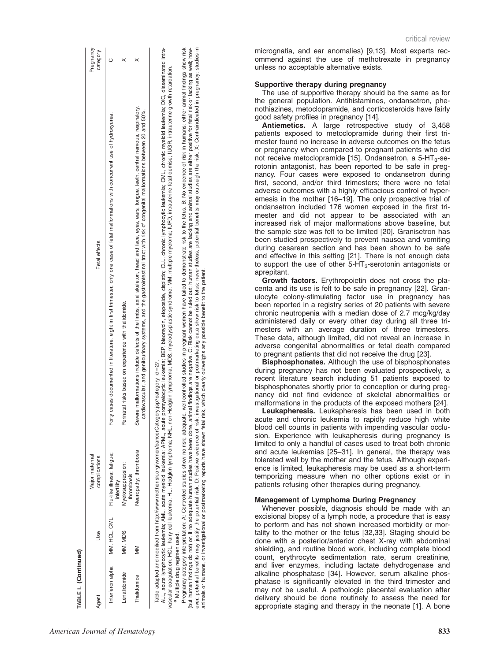| TABLE I. (Continued)                     |              |                                                                                                                                                                                   |                                                                                                                                                                                                                                                                                                                                                                              |                       |
|------------------------------------------|--------------|-----------------------------------------------------------------------------------------------------------------------------------------------------------------------------------|------------------------------------------------------------------------------------------------------------------------------------------------------------------------------------------------------------------------------------------------------------------------------------------------------------------------------------------------------------------------------|-----------------------|
| Agent                                    | Use          | Major maternal<br>complications                                                                                                                                                   | Fetal effects                                                                                                                                                                                                                                                                                                                                                                | Pregnancy<br>category |
| Interferon alpha                         | MM, HCL, CML | Flu-like illness; fatigue;                                                                                                                                                        | cases documented in literature, eight in first trimester, only one case of fetal malformations with concurrent use of hydroxyurea.<br>Forty                                                                                                                                                                                                                                  |                       |
| Lenalidomide                             | MM, MDS      | Myelosuppression;<br>infertility                                                                                                                                                  | Perinatal risks based on experience with thalidomide.                                                                                                                                                                                                                                                                                                                        |                       |
| Thalidomide                              | MM           | Neuropathy; thrombosis<br>thrombosis                                                                                                                                              | Severe malformations include defects of the limbs, axial skeleton, head and face, eyes, ears, tongue, teeth, central nervous, respiratory,<br>cardiovascular, and genitourinary systems, and the gastrointestinal tract with risk of congenital malformations between 20 and 50%.                                                                                            |                       |
| <sup>a</sup> Multiple drug regimen used. |              | Table adapted and modified from http://www.motherisk.org/women/cancerCategory.jsp?category_id=27.<br>ALL, acute lymphocytic leukemia; AML, acute myeloid leukemia; APML, acute pr | romyelocytic leukemia; BEP, bleomycin, etoposide, cisplatin; CLL, chronic lymphocytic leukemia; CML, chronic myeloid leukemia; DIC, disseminated intra-<br>vascular coagulation; HCL, hairy cell leukemia; HL, Hodgkin lymphoma; MHL, non-Hodgkin lymphoma; MDSD, mole ovadrome; MM, multiple myeloma; IUFD, intauterine fetal demise; IUGR, intauterine growth retardation. |                       |

Pregnancy category interpretation: A: Controlled studies show no risk; adequate, well-controlled studies in pregnant women have failed to demonstrate risk to the fetus. B: No evidence of risk in hurmans; either animal find Pregnancy category interpretation: A: Controlled studies well-controlled studies in pregnant women have failed to demonstrate risk to the fetus. B: No evidence of risk in humans; either animal findings show risk (but human findings do not) or, if no adequate human studies have been done, animal findings are negative. C: Risk cannot be ruled out; human studies are laring are either positive for fetal risk or lacking as well; however, potential benefits may justify the potential risk. D: Positive evidence of risk, investigational or postmarketing data show risk to fetus; nevertheless, potential benefits may outweigh the risk. X. Contraindicated in animals or humans, or investigational or postmarketing reports have shown fetal risk, which clearly outweighs any possible benefit to the patient. Multiple drug regimen used.

critical review

micrognatia, and ear anomalies) [9,13]. Most experts recommend against the use of methotrexate in pregnancy unless no acceptable alternative exists.

## Supportive therapy during pregnancy

The use of supportive therapy should be the same as for the general population. Antihistamines, ondansetron, phenothiazines, metoclopramide, and corticosteroids have fairly good safety profiles in pregnancy [14].

Antiemetics. A large retrospective study of 3,458 patients exposed to metoclopramide during their first trimester found no increase in adverse outcomes on the fetus or pregnancy when compared to pregnant patients who did not receive metoclopramide [15]. Ondansetron, a 5-HT $_3$ -serotonin antagonist, has been reported to be safe in pregnancy. Four cases were exposed to ondansetron during first, second, and/or third trimesters; there were no fetal adverse outcomes with a highly efficacious control of hyperemesis in the mother [16–19]. The only prospective trial of ondansetron included 176 women exposed in the first trimester and did not appear to be associated with an increased risk of major malformations above baseline, but the sample size was felt to be limited [20]. Granisetron has been studied prospectively to prevent nausea and vomiting during cesarean section and has been shown to be safe and effective in this setting [21]. There is not enough data to support the use of other  $5-HT_3$ -serotonin antagonists or aprepitant.

Growth factors. Erythropoietin does not cross the placenta and its use is felt to be safe in pregnancy [22]. Granulocyte colony-stimulating factor use in pregnancy has been reported in a registry series of 20 patients with severe chronic neutropenia with a median dose of 2.7 mcg/kg/day administered daily or every other day during all three trimesters with an average duration of three trimesters. These data, although limited, did not reveal an increase in adverse congenital abnormalities or fetal death compared to pregnant patients that did not receive the drug [23].

Bisphosphonates. Although the use of bisphosphonates during pregnancy has not been evaluated prospectively, a recent literature search including 51 patients exposed to bisphosphonates shortly prior to conception or during pregnancy did not find evidence of skeletal abnormalities or malformations in the products of the exposed mothers [24].

Leukapheresis. Leukapheresis has been used in both acute and chronic leukemia to rapidly reduce high white blood cell counts in patients with impending vascular occlusion. Experience with leukapheresis during pregnancy is limited to only a handful of cases used to treat both chronic and acute leukemias [25–31]. In general, the therapy was tolerated well by the mother and the fetus. Although experience is limited, leukapheresis may be used as a short-term temporizing measure when no other options exist or in patients refusing other therapies during pregnancy.

# Management of Lymphoma During Pregnancy

Whenever possible, diagnosis should be made with an excisional biopsy of a lymph node, a procedure that is easy to perform and has not shown increased morbidity or mortality to the mother or the fetus [32,33]. Staging should be done with a posterior/anterior chest X-ray with abdominal shielding, and routine blood work, including complete blood count, erythrocyte sedimentation rate, serum creatinine, and liver enzymes, including lactate dehydrogenase and alkaline phosphatase [34]. However, serum alkaline phosphatase is significantly elevated in the third trimester and may not be useful. A pathologic placental evaluation after delivery should be done routinely to assess the need for appropriate staging and therapy in the neonate [1]. A bone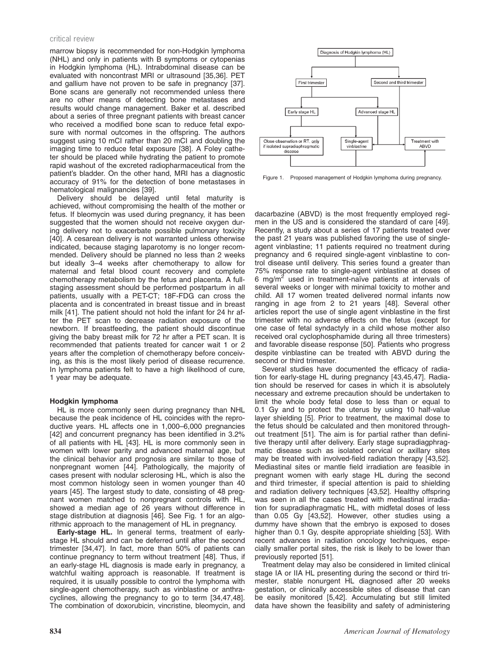marrow biopsy is recommended for non-Hodgkin lymphoma (NHL) and only in patients with B symptoms or cytopenias in Hodgkin lymphoma (HL). Intrabdominal disease can be evaluated with noncontrast MRI or ultrasound [35,36]. PET and gallium have not proven to be safe in pregnancy [37]. Bone scans are generally not recommended unless there are no other means of detecting bone metastases and results would change management. Baker et al. described about a series of three pregnant patients with breast cancer who received a modified bone scan to reduce fetal exposure with normal outcomes in the offspring. The authors suggest using 10 mCI rather than 20 mCI and doubling the imaging time to reduce fetal exposure [38]. A Foley catheter should be placed while hydrating the patient to promote rapid washout of the excreted radiopharmaceutical from the patient's bladder. On the other hand, MRI has a diagnostic accuracy of 91% for the detection of bone metastases in hematological malignancies [39].

Delivery should be delayed until fetal maturity is achieved, without compromising the health of the mother or fetus. If bleomycin was used during pregnancy, it has been suggested that the women should not receive oxygen during delivery not to exacerbate possible pulmonary toxicity [40]. A cesarean delivery is not warranted unless otherwise indicated, because staging laparotomy is no longer recommended. Delivery should be planned no less than 2 weeks but ideally 3–4 weeks after chemotherapy to allow for maternal and fetal blood count recovery and complete chemotherapy metabolism by the fetus and placenta. A fullstaging assessment should be performed postpartum in all patients, usually with a PET-CT; 18F-FDG can cross the placenta and is concentrated in breast tissue and in breast milk [41]. The patient should not hold the infant for 24 hr after the PET scan to decrease radiation exposure of the newborn. If breastfeeding, the patient should discontinue giving the baby breast milk for 72 hr after a PET scan. It is recommended that patients treated for cancer wait 1 or 2 years after the completion of chemotherapy before conceiving, as this is the most likely period of disease recurrence. In lymphoma patients felt to have a high likelihood of cure, 1 year may be adequate.

#### Hodgkin lymphoma

HL is more commonly seen during pregnancy than NHL because the peak incidence of HL coincides with the reproductive years. HL affects one in 1,000–6,000 pregnancies [42] and concurrent pregnancy has been identified in 3.2% of all patients with HL [43]. HL is more commonly seen in women with lower parity and advanced maternal age, but the clinical behavior and prognosis are similar to those of nonpregnant women [44]. Pathologically, the majority of cases present with nodular sclerosing HL, which is also the most common histology seen in women younger than 40 years [45]. The largest study to date, consisting of 48 pregnant women matched to nonpregnant controls with HL, showed a median age of 26 years without difference in stage distribution at diagnosis [46]. See Fig. 1 for an algorithmic approach to the management of HL in pregnancy.

Early-stage HL. In general terms, treatment of earlystage HL should and can be deferred until after the second trimester [34,47]. In fact, more than 50% of patients can continue pregnancy to term without treatment [48]. Thus, if an early-stage HL diagnosis is made early in pregnancy, a watchful waiting approach is reasonable. If treatment is required, it is usually possible to control the lymphoma with single-agent chemotherapy, such as vinblastine or anthracyclines, allowing the pregnancy to go to term [34,47,48]. The combination of doxorubicin, vincristine, bleomycin, and



Figure 1. Proposed management of Hodgkin lymphoma during pregnancy.

dacarbazine (ABVD) is the most frequently employed regimen in the US and is considered the standard of care [49]. Recently, a study about a series of 17 patients treated over the past 21 years was published favoring the use of singleagent vinblastine; 11 patients required no treatment during pregnancy and 6 required single-agent vinblastine to control disease until delivery. This series found a greater than 75% response rate to single-agent vinblastine at doses of 6 mg/m<sup>2</sup> used in treatment-naïve patients at intervals of several weeks or longer with minimal toxicity to mother and child. All 17 women treated delivered normal infants now ranging in age from 2 to 21 years [48]. Several other articles report the use of single agent vinblastine in the first trimester with no adverse effects on the fetus (except for one case of fetal syndactyly in a child whose mother also received oral cyclophosphamide during all three trimesters) and favorable disease response [50]. Patients who progress despite vinblastine can be treated with ABVD during the second or third trimester.

Several studies have documented the efficacy of radiation for early-stage HL during pregnancy [43,45,47]. Radiation should be reserved for cases in which it is absolutely necessary and extreme precaution should be undertaken to limit the whole body fetal dose to less than or equal to 0.1 Gy and to protect the uterus by using 10 half-value layer shielding [5]. Prior to treatment, the maximal dose to the fetus should be calculated and then monitored throughout treatment [51]. The aim is for partial rather than definitive therapy until after delivery. Early stage supradiagphragmatic disease such as isolated cervical or axillary sites may be treated with involved-field radiation therapy [43,52]. Mediastinal sites or mantle field irradiation are feasible in pregnant women with early stage HL during the second and third trimester, if special attention is paid to shielding and radiation delivery techniques [43,52]. Healthy offspring was seen in all the cases treated with mediastinal irradiation for supradiaphragmatic HL, with midfetal doses of less than 0.05 Gy [43,52]. However, other studies using a dummy have shown that the embryo is exposed to doses higher than 0.1 Gy, despite appropriate shielding [53]. With recent advances in radiation oncology techniques, especially smaller portal sites, the risk is likely to be lower than previously reported [51].

Treatment delay may also be considered in limited clinical stage IA or IIA HL presenting during the second or third trimester, stable nonurgent HL diagnosed after 20 weeks gestation, or clinically accessible sites of disease that can be easily monitored [5,42]. Accumulating but still limited data have shown the feasibility and safety of administering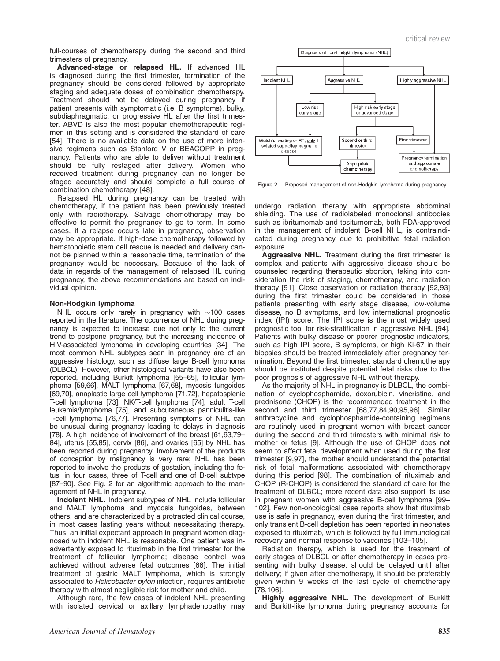Advanced-stage or relapsed HL. If advanced HL is diagnosed during the first trimester, termination of the pregnancy should be considered followed by appropriate staging and adequate doses of combination chemotherapy. Treatment should not be delayed during pregnancy if patient presents with symptomatic (i.e. B symptoms), bulky, subdiaphragmatic, or progressive HL after the first trimester. ABVD is also the most popular chemotherapeutic regimen in this setting and is considered the standard of care [54]. There is no available data on the use of more intensive regimens such as Stanford V or BEACOPP in pregnancy. Patients who are able to deliver without treatment should be fully restaged after delivery. Women who received treatment during pregnancy can no longer be staged accurately and should complete a full course of combination chemotherapy [48].

Relapsed HL during pregnancy can be treated with chemotherapy, if the patient has been previously treated only with radiotherapy. Salvage chemotherapy may be effective to permit the pregnancy to go to term. In some cases, if a relapse occurs late in pregnancy, observation may be appropriate. If high-dose chemotherapy followed by hematopoietic stem cell rescue is needed and delivery cannot be planned within a reasonable time, termination of the pregnancy would be necessary. Because of the lack of data in regards of the management of relapsed HL during pregnancy, the above recommendations are based on individual opinion.

# Non-Hodgkin lymphoma

NHL occurs only rarely in pregnancy with  $\sim$ 100 cases reported in the literature. The occurrence of NHL during pregnancy is expected to increase due not only to the current trend to postpone pregnancy, but the increasing incidence of HIV-associated lymphoma in developing countries [34]. The most common NHL subtypes seen in pregnancy are of an aggressive histology, such as diffuse large B-cell lymphoma (DLBCL). However, other histological variants have also been reported, including Burkitt lymphoma [55–65], follicular lymphoma [59,66], MALT lymphoma [67,68], mycosis fungoides [69,70], anaplastic large cell lymphoma [71,72], hepatosplenic T-cell lymphoma [73], NK/T-cell lymphoma [74], adult T-cell leukemia/lymphoma [75], and subcutaneous panniculitis-like T-cell lymphoma [76,77]. Presenting symptoms of NHL can be unusual during pregnancy leading to delays in diagnosis [78]. A high incidence of involvement of the breast [61,63,79– 84], uterus [55,85], cervix [86], and ovaries [65] by NHL has been reported during pregnancy. Involvement of the products of conception by malignancy is very rare; NHL has been reported to involve the products of gestation, including the fetus, in four cases, three of T-cell and one of B-cell subtype [87–90]. See Fig. 2 for an algorithmic approach to the management of NHL in pregnancy.

Indolent NHL. Indolent subtypes of NHL include follicular and MALT lymphoma and mycosis fungoides, between others, and are characterized by a protracted clinical course, in most cases lasting years without necessitating therapy. Thus, an initial expectant approach in pregnant women diagnosed with indolent NHL is reasonable. One patient was inadvertently exposed to rituximab in the first trimester for the treatment of follicular lymphoma; disease control was achieved without adverse fetal outcomes [66]. The initial treatment of gastric MALT lymphoma, which is strongly associated to Helicobacter pylori infection, requires antibiotic therapy with almost negligible risk for mother and child.

Although rare, the few cases of indolent NHL presenting with isolated cervical or axillary lymphadenopathy may



Figure 2. Proposed management of non-Hodgkin lymphoma during pregnancy.

undergo radiation therapy with appropriate abdominal shielding. The use of radiolabeled monoclonal antibodies such as ibritumomab and tositumomab, both FDA-approved in the management of indolent B-cell NHL, is contraindicated during pregnancy due to prohibitive fetal radiation exposure.

Aggressive NHL. Treatment during the first trimester is complex and patients with aggressive disease should be counseled regarding therapeutic abortion, taking into consideration the risk of staging, chemotherapy, and radiation therapy [91]. Close observation or radiation therapy [92,93] during the first trimester could be considered in those patients presenting with early stage disease, low-volume disease, no B symptoms, and low international prognostic index (IPI) score. The IPI score is the most widely used prognostic tool for risk-stratification in aggressive NHL [94]. Patients with bulky disease or poorer prognostic indicators, such as high IPI score, B symptoms, or high Ki-67 in their biopsies should be treated immediately after pregnancy termination. Beyond the first trimester, standard chemotherapy should be instituted despite potential fetal risks due to the poor prognosis of aggressive NHL without therapy.

As the majority of NHL in pregnancy is DLBCL, the combination of cyclophosphamide, doxorubicin, vincristine, and prednisone (CHOP) is the recommended treatment in the second and third trimester [68,77,84,90,95,96]. Similar anthracycline and cyclophosphamide-containing regimens are routinely used in pregnant women with breast cancer during the second and third trimesters with minimal risk to mother or fetus [9]. Although the use of CHOP does not seem to affect fetal development when used during the first trimester [9,97], the mother should understand the potential risk of fetal malformations associated with chemotherapy during this period [98]. The combination of rituximab and CHOP (R-CHOP) is considered the standard of care for the treatment of DLBCL; more recent data also support its use in pregnant women with aggressive B-cell lymphoma [99– 102]. Few non-oncological case reports show that rituximab use is safe in pregnancy, even during the first trimester, and only transient B-cell depletion has been reported in neonates exposed to rituximab, which is followed by full immunological recovery and normal response to vaccines [103–105].

Radiation therapy, which is used for the treatment of early stages of DLBCL or after chemotherapy in cases presenting with bulky disease, should be delayed until after delivery; if given after chemotherapy, it should be preferably given within 9 weeks of the last cycle of chemotherapy [78,106].

Highly aggressive NHL. The development of Burkitt and Burkitt-like lymphoma during pregnancy accounts for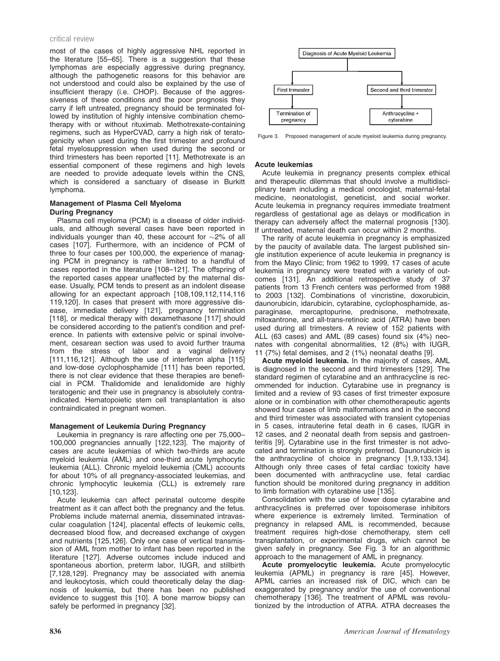most of the cases of highly aggressive NHL reported in the literature [55–65]. There is a suggestion that these lymphomas are especially aggressive during pregnancy, although the pathogenetic reasons for this behavior are not understood and could also be explained by the use of insufficient therapy (i.e. CHOP). Because of the aggressiveness of these conditions and the poor prognosis they carry if left untreated, pregnancy should be terminated followed by institution of highly intensive combination chemotherapy with or without rituximab. Methotrexate-containing regimens, such as HyperCVAD, carry a high risk of teratogenicity when used during the first trimester and profound fetal myelosuppression when used during the second or third trimesters has been reported [11]. Methotrexate is an essential component of these regimens and high levels are needed to provide adequate levels within the CNS, which is considered a sanctuary of disease in Burkitt lymphoma.

## Management of Plasma Cell Myeloma During Pregnancy

Plasma cell myeloma (PCM) is a disease of older individuals, and although several cases have been reported in individuals younger than 40, these account for  $\sim$ 2% of all cases [107]. Furthermore, with an incidence of PCM of three to four cases per 100,000, the experience of managing PCM in pregnancy is rather limited to a handful of cases reported in the literature [108–121]. The offspring of the reported cases appear unaffected by the maternal disease. Usually, PCM tends to present as an indolent disease allowing for an expectant approach [108,109,112,114,116 119,120]. In cases that present with more aggressive disease, immediate delivery [121], pregnancy termination [118], or medical therapy with dexamethasone [117] should be considered according to the patient's condition and preference. In patients with extensive pelvic or spinal involvement, cesarean section was used to avoid further trauma from the stress of labor and a vaginal delivery [111,116,121]. Although the use of interferon alpha [115] and low-dose cyclophosphamide [111] has been reported, there is not clear evidence that these therapies are beneficial in PCM. Thalidomide and lenalidomide are highly teratogenic and their use in pregnancy is absolutely contraindicated. Hematopoietic stem cell transplantation is also contraindicated in pregnant women.

#### Management of Leukemia During Pregnancy

Leukemia in pregnancy is rare affecting one per 75,000– 100,000 pregnancies annually [122,123]. The majority of cases are acute leukemias of which two-thirds are acute myeloid leukemia (AML) and one-third acute lymphocytic leukemia (ALL). Chronic myeloid leukemia (CML) accounts for about 10% of all pregnancy-associated leukemias, and chronic lymphocytic leukemia (CLL) is extremely rare [10,123].

Acute leukemia can affect perinatal outcome despite treatment as it can affect both the pregnancy and the fetus. Problems include maternal anemia, disseminated intravascular coagulation [124], placental effects of leukemic cells, decreased blood flow, and decreased exchange of oxygen and nutrients [125,126]. Only one case of vertical transmission of AML from mother to infant has been reported in the literature [127]. Adverse outcomes include induced and spontaneous abortion, preterm labor, IUGR, and stillbirth [7,128,129]. Pregnancy may be associated with anemia and leukocytosis, which could theoretically delay the diagnosis of leukemia, but there has been no published evidence to suggest this [10]. A bone marrow biopsy can safely be performed in pregnancy [32].



Figure 3. Proposed management of acute myeloid leukemia during pregnancy.

#### Acute leukemias

Acute leukemia in pregnancy presents complex ethical and therapeutic dilemmas that should involve a multidisciplinary team including a medical oncologist, maternal-fetal medicine, neonatologist, geneticist, and social worker. Acute leukemia in pregnancy requires immediate treatment regardless of gestational age as delays or modification in therapy can adversely affect the maternal prognosis [130]. If untreated, maternal death can occur within 2 months.

The rarity of acute leukemia in pregnancy is emphasized by the paucity of available data. The largest published single institution experience of acute leukemia in pregnancy is from the Mayo Clinic; from 1962 to 1999, 17 cases of acute leukemia in pregnancy were treated with a variety of outcomes [131]. An additional retrospective study of 37 patients from 13 French centers was performed from 1988 to 2003 [132]. Combinations of vincristine, doxorubicin, daunorubicin, idarubicin, cytarabine, cyclophosphamide, asparaginase, mercaptopurine, prednisone, methotrexate, mitoxantrone, and all-trans-retinoic acid (ATRA) have been used during all trimesters. A review of 152 patients with ALL (63 cases) and AML (89 cases) found six (4%) neonates with congenital abnormalities, 12 (8%) with IUGR, 11 (7%) fetal demises, and 2 (1%) neonatal deaths [9].

Acute myeloid leukemia. In the majority of cases, AML is diagnosed in the second and third trimesters [129]. The standard regimen of cytarabine and an anthracycline is recommended for induction. Cytarabine use in pregnancy is limited and a review of 93 cases of first trimester exposure alone or in combination with other chemotherapeutic agents showed four cases of limb malformations and in the second and third trimester was associated with transient cytopenias in 5 cases, intrauterine fetal death in 6 cases, IUGR in 12 cases, and 2 neonatal death from sepsis and gastroenteritis [9]. Cytarabine use in the first trimester is not advocated and termination is strongly preferred. Daunorubicin is the anthracycline of choice in pregnancy [1,9,133,134]. Although only three cases of fetal cardiac toxicity have been documented with anthracycline use, fetal cardiac function should be monitored during pregnancy in addition to limb formation with cytarabine use [135].

Consolidation with the use of lower dose cytarabine and anthracyclines is preferred over topoisomerase inhibitors where experience is extremely limited. Termination of pregnancy in relapsed AML is recommended, because treatment requires high-dose chemotherapy, stem cell transplantation, or experimental drugs, which cannot be given safely in pregnancy. See Fig. 3 for an algorithmic approach to the management of AML in pregnancy.

Acute promyelocytic leukemia. Acute promyelocytic leukemia (APML) in pregnancy is rare [45]. However, APML carries an increased risk of DIC, which can be exaggerated by pregnancy and/or the use of conventional chemotherapy [136]. The treatment of APML was revolutionized by the introduction of ATRA. ATRA decreases the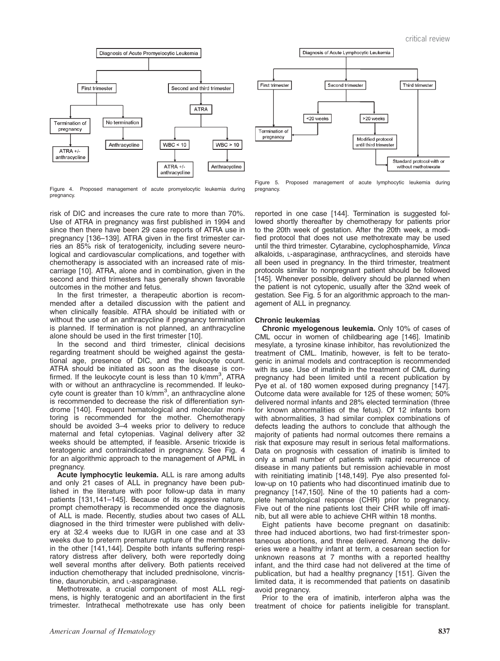

Diagnosis of Acute Lymphocytic Leukemia First trimester Second trimester Third trimester  $>20$  weeks <20 weeks Termination of pregnancy Modified protocol until third trimester Standard protocol with or without methotrexate

Figure 5. Proposed management of acute lymphocytic leukemia during

Figure 4. Proposed management of acute promyelocytic leukemia during pregnancy pregnancy.

risk of DIC and increases the cure rate to more than 70%. Use of ATRA in pregnancy was first published in 1994 and since then there have been 29 case reports of ATRA use in pregnancy [136–139]. ATRA given in the first trimester carries an 85% risk of teratogenicity, including severe neurological and cardiovascular complications, and together with chemotherapy is associated with an increased rate of miscarriage [10]. ATRA, alone and in combination, given in the second and third trimesters has generally shown favorable outcomes in the mother and fetus.

In the first trimester, a therapeutic abortion is recommended after a detailed discussion with the patient and when clinically feasible. ATRA should be initiated with or without the use of an anthracycline if pregnancy termination is planned. If termination is not planned, an anthracycline alone should be used in the first trimester [10].

In the second and third trimester, clinical decisions regarding treatment should be weighed against the gestational age, presence of DIC, and the leukocyte count. ATRA should be initiated as soon as the disease is confirmed. If the leukocyte count is less than 10 k/mm<sup>3</sup>, ATRA with or without an anthracycline is recommended. If leukocyte count is greater than 10 k/mm<sup>3</sup>, an anthracycline alone is recommended to decrease the risk of differentiation syndrome [140]. Frequent hematological and molecular monitoring is recommended for the mother. Chemotherapy should be avoided 3–4 weeks prior to delivery to reduce maternal and fetal cytopenias. Vaginal delivery after 32 weeks should be attempted, if feasible. Arsenic trioxide is teratogenic and contraindicated in pregnancy. See Fig. 4 for an algorithmic approach to the management of APML in pregnancy.

Acute lymphocytic leukemia. ALL is rare among adults and only 21 cases of ALL in pregnancy have been published in the literature with poor follow-up data in many patients [131,141–145]. Because of its aggressive nature, prompt chemotherapy is recommended once the diagnosis of ALL is made. Recently, studies about two cases of ALL diagnosed in the third trimester were published with delivery at 32.4 weeks due to IUGR in one case and at 33 weeks due to preterm premature rupture of the membranes in the other [141,144]. Despite both infants suffering respiratory distress after delivery, both were reportedly doing well several months after delivery. Both patients received induction chemotherapy that included prednisolone, vincristine, daunorubicin, and L-asparaginase.

Methotrexate, a crucial component of most ALL regimens, is highly teratogenic and an abortifacient in the first trimester. Intrathecal methotrexate use has only been

reported in one case [144]. Termination is suggested followed shortly thereafter by chemotherapy for patients prior to the 20th week of gestation. After the 20th week, a modified protocol that does not use methotrexate may be used until the third trimester. Cytarabine, cyclophosphamide, Vinca alkaloids, L-asparaginase, anthracyclines, and steroids have all been used in pregnancy. In the third trimester, treatment protocols similar to nonpregnant patient should be followed [145]. Whenever possible, delivery should be planned when the patient is not cytopenic, usually after the 32nd week of gestation. See Fig. 5 for an algorithmic approach to the management of ALL in pregnancy.

## Chronic leukemias

Chronic myelogenous leukemia. Only 10% of cases of CML occur in women of childbearing age [146]. Imatinib mesylate, a tyrosine kinase inhibitor, has revolutionized the treatment of CML. Imatinib, however, is felt to be teratogenic in animal models and contraception is recommended with its use. Use of imatinib in the treatment of CML during pregnancy had been limited until a recent publication by Pye et al. of 180 women exposed during pregnancy [147]. Outcome data were available for 125 of these women; 50% delivered normal infants and 28% elected termination (three for known abnormalities of the fetus). Of 12 infants born with abnormalities, 3 had similar complex combinations of defects leading the authors to conclude that although the majority of patients had normal outcomes there remains a risk that exposure may result in serious fetal malformations. Data on prognosis with cessation of imatinib is limited to only a small number of patients with rapid recurrence of disease in many patients but remission achievable in most with reinitiating imatinib [148,149]. Pye also presented follow-up on 10 patients who had discontinued imatinib due to pregnancy [147,150]. Nine of the 10 patients had a complete hematological response (CHR) prior to pregnancy. Five out of the nine patients lost their CHR while off imatinib, but all were able to achieve CHR within 18 months.

Eight patients have become pregnant on dasatinib: three had induced abortions, two had first-trimester spontaneous abortions, and three delivered. Among the deliveries were a healthy infant at term, a cesarean section for unknown reasons at 7 months with a reported healthy infant, and the third case had not delivered at the time of publication, but had a healthy pregnancy [151]. Given the limited data, it is recommended that patients on dasatinib avoid pregnancy.

Prior to the era of imatinib, interferon alpha was the treatment of choice for patients ineligible for transplant.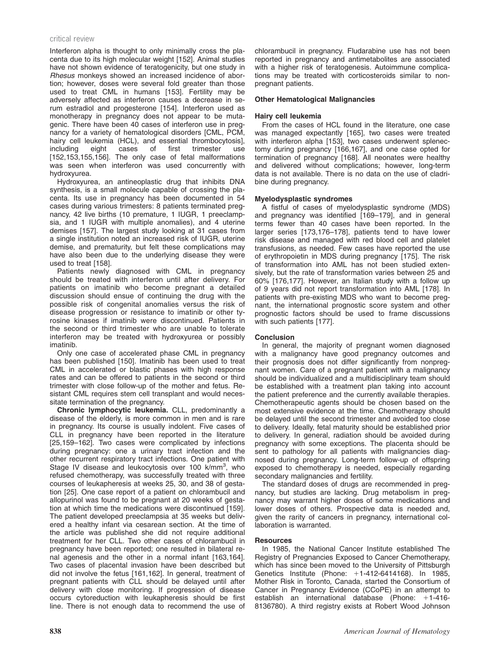Interferon alpha is thought to only minimally cross the placenta due to its high molecular weight [152]. Animal studies have not shown evidence of teratogenicity, but one study in Rhesus monkeys showed an increased incidence of abortion; however, doses were several fold greater than those used to treat CML in humans [153]. Fertility may be adversely affected as interferon causes a decrease in serum estradiol and progesterone [154]. Interferon used as monotherapy in pregnancy does not appear to be mutagenic. There have been 40 cases of interferon use in pregnancy for a variety of hematological disorders [CML, PCM, hairy cell leukemia (HCL), and essential thrombocytosis], including eight cases of first trimester use [152,153,155,156]. The only case of fetal malformations was seen when interferon was used concurrently with hydroxyurea.

Hydroxyurea, an antineoplastic drug that inhibits DNA synthesis, is a small molecule capable of crossing the placenta. Its use in pregnancy has been documented in 54 cases during various trimesters: 8 patients terminated pregnancy, 42 live births (10 premature, 1 IUGR, 1 preeclampsia, and 1 IUGR with multiple anomalies), and 4 uterine demises [157]. The largest study looking at 31 cases from a single institution noted an increased risk of IUGR, uterine demise, and prematurity, but felt these complications may have also been due to the underlying disease they were used to treat [158].

Patients newly diagnosed with CML in pregnancy should be treated with interferon until after delivery. For patients on imatinib who become pregnant a detailed discussion should ensue of continuing the drug with the possible risk of congenital anomalies versus the risk of disease progression or resistance to imatinib or other tyrosine kinases if imatinib were discontinued. Patients in the second or third trimester who are unable to tolerate interferon may be treated with hydroxyurea or possibly imatinib.

Only one case of accelerated phase CML in pregnancy has been published [150]. Imatinib has been used to treat CML in accelerated or blastic phases with high response rates and can be offered to patients in the second or third trimester with close follow-up of the mother and fetus. Resistant CML requires stem cell transplant and would necessitate termination of the pregnancy.

Chronic lymphocytic leukemia. CLL, predominantly a disease of the elderly, is more common in men and is rare in pregnancy. Its course is usually indolent. Five cases of CLL in pregnancy have been reported in the literature [25,159–162]. Two cases were complicated by infections during pregnancy: one a urinary tract infection and the other recurrent respiratory tract infections. One patient with Stage IV disease and leukocytosis over 100 k/mm<sup>3</sup>, who refused chemotherapy, was successfully treated with three courses of leukapheresis at weeks 25, 30, and 38 of gestation [25]. One case report of a patient on chlorambucil and allopurinol was found to be pregnant at 20 weeks of gestation at which time the medications were discontinued [159]. The patient developed preeclampsia at 35 weeks but delivered a healthy infant via cesarean section. At the time of the article was published she did not require additional treatment for her CLL. Two other cases of chlorambucil in pregnancy have been reported; one resulted in bilateral renal agenesis and the other in a normal infant [163,164]. Two cases of placental invasion have been described but did not involve the fetus [161,162]. In general, treatment of pregnant patients with CLL should be delayed until after delivery with close monitoring. If progression of disease occurs cytoreduction with leukapheresis should be first line. There is not enough data to recommend the use of

chlorambucil in pregnancy. Fludarabine use has not been reported in pregnancy and antimetabolites are associated with a higher risk of teratogenesis. Autoimmune complications may be treated with corticosteroids similar to nonpregnant patients.

# Other Hematological Malignancies

# Hairy cell leukemia

From the cases of HCL found in the literature, one case was managed expectantly [165], two cases were treated with interferon alpha [153], two cases underwent splenectomy during pregnancy [166,167], and one case opted for termination of pregnancy [168]. All neonates were healthy and delivered without complications; however, long-term data is not available. There is no data on the use of cladribine during pregnancy.

# Myelodysplastic syndromes

A fistful of cases of myelodysplastic syndrome (MDS) and pregnancy was identified [169–179], and in general terms fewer than 40 cases have been reported. In the larger series [173,176–178], patients tend to have lower risk disease and managed with red blood cell and platelet transfusions, as needed. Few cases have reported the use of erythropoietin in MDS during pregnancy [175]. The risk of transformation into AML has not been studied extensively, but the rate of transformation varies between 25 and 60% [176,177]. However, an Italian study with a follow up of 9 years did not report transformation into AML [178]. In patients with pre-existing MDS who want to become pregnant, the international prognostic score system and other prognostic factors should be used to frame discussions with such patients [177].

#### **Conclusion**

In general, the majority of pregnant women diagnosed with a malignancy have good pregnancy outcomes and their prognosis does not differ significantly from nonpregnant women. Care of a pregnant patient with a malignancy should be individualized and a multidisciplinary team should be established with a treatment plan taking into account the patient preference and the currently available therapies. Chemotherapeutic agents should be chosen based on the most extensive evidence at the time. Chemotherapy should be delayed until the second trimester and avoided too close to delivery. Ideally, fetal maturity should be established prior to delivery. In general, radiation should be avoided during pregnancy with some exceptions. The placenta should be sent to pathology for all patients with malignancies diagnosed during pregnancy. Long-term follow-up of offspring exposed to chemotherapy is needed, especially regarding secondary malignancies and fertility.

The standard doses of drugs are recommended in pregnancy, but studies are lacking. Drug metabolism in pregnancy may warrant higher doses of some medications and lower doses of others. Prospective data is needed and, given the rarity of cancers in pregnancy, international collaboration is warranted.

#### Resources

In 1985, the National Cancer Institute established The Registry of Pregnancies Exposed to Cancer Chemotherapy, which has since been moved to the University of Pittsburgh Genetics Institute (Phone: +1-412-6414168). In 1985, Mother Risk in Toronto, Canada, started the Consortium of Cancer in Pregnancy Evidence (CCoPE) in an attempt to establish an international database (Phone:  $+1-416-$ 8136780). A third registry exists at Robert Wood Johnson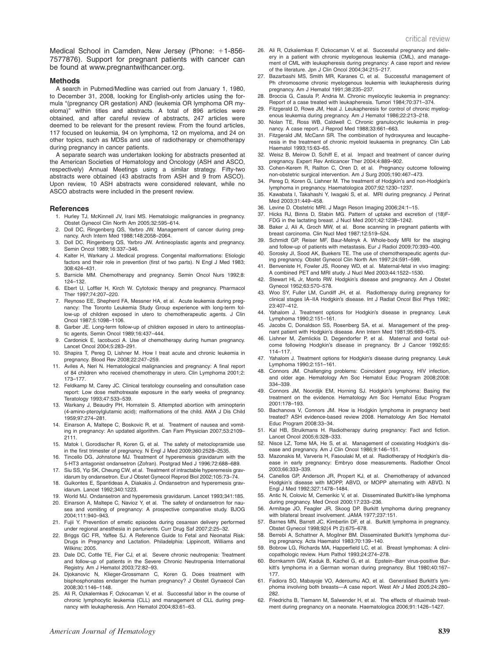Medical School in Camden, New Jersey (Phone:  $+1-856-$ 7577876). Support for pregnant patients with cancer can be found at www.pregnantwithcancer.org.

#### Methods

A search in Pubmed/Medline was carried out from January 1, 1980, to December 31, 2008, looking for English-only articles using the formula ''(pregnancy OR gestation) AND (leukemia OR lymphoma OR myeloma)'' within titles and abstracts. A total of 896 articles were obtained, and after careful review of abstracts, 247 articles were deemed to be relevant for the present review. From the found articles, 117 focused on leukemia, 94 on lymphoma, 12 on myeloma, and 24 on other topics, such as MDSs and use of radiotherapy or chemotherapy during pregnancy in cancer patients.

A separate search was undertaken looking for abstracts presented at the American Societies of Hematology and Oncology (ASH and ASCO, respectively) Annual Meetings using a similar strategy. Fifty-two abstracts were obtained (43 abstracts from ASH and 9 from ASCO). Upon review, 10 ASH abstracts were considered relevant, while no ASCO abstracts were included in the present review.

#### **References**

- 1. Hurley TJ, McKinnell JV, Irani MS. Hematologic malignancies in pregnancy. Obstet Gynecol Clin North Am 2005;32:595–614.
- 2. Doll DC, Ringenberg QS, Yarbro JW. Management of cancer during pregnancy. Arch Intern Med 1988;148:2058–2064.
- Doll DC, Ringenberg QS, Yarbro JW. Antineoplastic agents and pregnancy. Semin Oncol 1989;16:337–346.
- 4. Kalter H, Warkany J. Medical progress. Congenital malformations: Etiologic factors and their role in prevention (first of two parts). N Engl J Med 1983; 308:424–431.
- 5. Barnicle MM. Chemotherapy and pregnancy. Semin Oncol Nurs 1992;8: 124–132.
- 6. Ebert U, Loffler H, Kirch W. Cytotoxic therapy and pregnancy. Pharmacol Ther 1997;74:207–220.
- 7. Reynoso EE, Shepherd FA, Messner HA, et al. Acute leukemia during pregnancy: The Toronto Leukemia Study Group experience with long-term follow-up of children exposed in utero to chemotherapeutic agents. J Clin Oncol 1987;5:1098–1106.
- 8. Garber JE. Long-term follow-up of children exposed in utero to antineoplastic agents. Semin Oncol 1989;16:437–444.
- 9. Cardonick E, Iacobucci A. Use of chemotherapy during human pregnancy. Lancet Oncol 2004;5:283–291.
- 10. Shapira T, Pereg D, Lishner M. How I treat acute and chronic leukemia in pregnancy. Blood Rev 2008;22:247–259.
- 11. Aviles A, Neri N. Hematological malignancies and pregnancy: A final report of 84 children who received chemotherapy in utero. Clin Lymphoma 2001;2: 173–177.
- 12. Feldkamp M, Carey JC. Clinical teratology counseling and consultation case report: Low dose methotrexate exposure in the early weeks of pregnancy. Teratology 1993;47:533–539.
- 13. Warkany J, Beaudry PH, Hornstein S. Attempted abortion with aminopterin (4-amino-pteroylglutamic acid); malformations of the child. AMA J Dis Child 1959;97:274–281.
- 14. Einarson A, Maltepe C, Boskovic R, et al. Treatment of nausea and vomiting in pregnancy: An updated algorithm. Can Fam Physician 2007;53:2109– 2111.
- 15. Matok I, Gorodischer R, Koren G, et al. The safety of metoclopramide use in the first trimester of pregnancy. N Engl J Med 2009;360:2528–2535.
- 16. Tincello DG, Johnstone MJ. Treatment of hyperemesis gravidarum with the 5-HT3 antagonist ondansetron (Zofran). Postgrad Med J 1996;72:688–689.
- 17. Siu SS, Yip SK, Cheung CW, et al. Treatment of intractable hyperemesis gravidarum by ondansetron. Eur J Obstet Gynecol Reprod Biol 2002;105:73–74.
- 18. Guikontes E, Spantideas A, Diakakis J. Ondansetron and hyperemesis gravidarum. Lancet 1992;340:1223.
- 19. World MJ. Ondansetron and hyperemesis gravidarum. Lancet 1993;341:185.
- 20. Einarson A, Maltepe C, Navioz Y, et al. The safety of ondansetron for nausea and vomiting of pregnancy: A prospective comparative study. BJOG 2004;111:940–943.
- 21. Fujii Y. Prevention of emetic episodes during cesarean delivery performed under regional anesthesia in parturients. Curr Drug Saf 2007;2:25–32.
- Briggs GC FR, Yaffee SJ. A Reference Guide to Fetal and Neonatal Risk: Drugs in Pregnancy and Lactation. Philadelphia: Lippincott, Williams and Wilkins; 2005.
- 23. Dale DC, Cottle TE, Fier CJ, et al. Severe chronic neutropenia: Treatment and follow-up of patients in the Severe Chronic Neutropenia International Registry. Am J Hematol 2003;72:82–93.
- 24. Djokanovic N, Klieger-Grossmann C, Koren G. Does treatment with bisphosphonates endanger the human pregnancy? J Obstet Gynaecol Can 2008;30:1146–1148.
- 25. Ali R, Ozkalemkas F, Ozkocaman V, et al. Successful labor in the course of chronic lymphocytic leukemia (CLL) and management of CLL during pregnancy with leukapheresis. Ann Hematol 2004;83:61–63.
- 26. Ali R, Ozkalemkas F, Ozkocaman V, et al. Successful pregnancy and delivery in a patient with chronic myelogenous leukemia (CML), and management of CML with leukapheresis during pregnancy: A case report and review of the literature. Jpn J Clin Oncol 2004;34:215–217.
- 27. Bazarbashi MS, Smith MR, Karanes C, et al. Successful management of Ph chromosome chronic myelogenous leukemia with leukapheresis during pregnancy. Am J Hematol 1991;38:235–237.
- 28. Broccia G, Casula P, Andria M. Chronic myelocytic leukemia in pregnancy: Report of a case treated with leukapheresis. Tumori 1984;70:371–374.
- 29. Fitzgerald D, Rowe JM, Heal J. Leukapheresis for control of chronic myelogenous leukemia during pregnancy. Am J Hematol 1986;22:213–218.
- 30. Nolan TE, Ross WB, Caldwell C. Chronic granulocytic leukemia in pregnancy. A case report. J Reprod Med 1988;33:661–663.
- 31. Fitzgerald JM, McCann SR. The combination of hydroxyurea and leucapheresis in the treatment of chronic myeloid leukaemia in pregnancy. Clin Lab Haematol 1993;15:63–65.
- 32. Weisz B, Meirow D, Schiff E, et al. Impact and treatment of cancer during pregnancy. Expert Rev Anticancer Ther 2004;4:889–902.
- 33. Cohen-Kerem R, Railton C, Oren D, et al. Pregnancy outcome following non-obstetric surgical intervention. Am J Surg 2005;190:467–473.
- 34. Pereg D, Koren G, Lishner M. The treatment of Hodgkin's and non-Hodgkin's lymphoma in pregnancy. Haematologica 2007;92:1230–1237.
- 35. Kawabata I, Takahashi Y, Iwagaki S, et al. MRI during pregnancy. J Perinat Med 2003;31:449–458.
- 36. Levine D. Obstetric MRI. J Magn Reson Imaging 2006;24:1–15.
- 37. Hicks RJ, Binns D, Stabin MG. Pattern of uptake and excretion of (18)F-FDG in the lactating breast. J Nucl Med 2001;42:1238–1242.
- 38. Baker J, Ali A, Groch MW, et al. Bone scanning in pregnant patients with breast carcinoma. Clin Nucl Med 1987;12:519–524.
- 39. Schmidt GP, Reiser MF, Baur-Melnyk A. Whole-body MRI for the staging and follow-up of patients with metastasis. Eur J Radiol 2009;70:393–400.
- 40. Sorosky JI, Sood AK, Buekers TE. The use of chemotherapeutic agents during pregnancy. Obstet Gynecol Clin North Am 1997;24:591–599.
- 41. Benveniste H, Fowler JS, Rooney WD, et al. Maternal-fetal in vivo imaging: A combined PET and MRI study. J Nucl Med 2003;44:1522–1530.
- 42. Stewart HL Jr, Monto RW. Hodgkin's disease and pregnancy. Am J Obstet Gynecol 1952;63:570–578.
- 43. Woo SY, Fuller LM, Cundiff JH, et al. Radiotherapy during pregnancy for clinical stages IA–IIA Hodgkin's disease. Int J Radiat Oncol Biol Phys 1992; 23:407–412.
- 44. Yahalom J. Treatment options for Hodgkin's disease in pregnancy. Leuk Lymphoma 1990;2:151–161.
- 45. Jacobs C, Donaldson SS, Rosenberg SA, et al. Management of the pregnant patient with Hodgkin's disease. Ann Intern Med 1981;95:669–675.
- 46. Lishner M, Zemlickis D, Degendorfer P, et al. Maternal and foetal outcome following Hodgkin's disease in pregnancy. Br J Cancer 1992;65: 114–117.
- 47. Yahalom J. Treatment options for Hodgkin's disease during pregnancy. Leuk Lymphoma 1990;2:151–161.
- 48. Connors JM. Challenging problems: Coincident pregnancy, HIV infection, and older age. Hematology Am Soc Hematol Educ Program 2008;2008: 334–339.
- 49. Connors JM, Noordijk EM, Horning SJ. Hodgkin's lymphoma: Basing the treatment on the evidence. Hematology Am Soc Hematol Educ Program 2001:178–193.
- 50. Bachanova V, Connors JM. How is Hodgkin lymphoma in pregnancy best treated? ASH evidence-based review 2008. Hematology Am Soc Hematol Educ Program 2008:33–34.
- 51. Kal HB, Struikmans H. Radiotherapy during pregnancy: Fact and fiction. Lancet Oncol 2005;6:328–333.
- 52. Nisce LZ, Tome MA, He S, et al. Management of coexisting Hodgkin's disease and pregnancy. Am J Clin Oncol 1986;9:146–151.
- 53. Mazonakis M, Varveris H, Fasoulaki M, et al. Radiotherapy of Hodgkin's disease in early pregnancy: Embryo dose measurements. Radiother Oncol 2003;66:333–339.
- 54. Canellos GP, Anderson JR, Propert KJ, et al. Chemotherapy of advanced Hodgkin's disease with MOPP, ABVD, or MOPP alternating with ABVD. N Engl J Med 1992;327:1478–1484.
- 55. Antic N, Colovic M, Cemerikic V, et al. Disseminated Burkitt's-like lymphoma during pregnancy. Med Oncol 2000;17:233–236.
- 56. Armitage JO, Feagler JR, Skoog DP. Burkitt lymphoma during pregnancy with bilateral breast involvement. JAMA 1977;237:151.
- 57. Barnes MN, Barrett JC, Kimberlin DF, et al. Burkitt lymphoma in pregnancy. Obstet Gynecol 1998;92(4 Pt 2):675–678.
- 58. Berrebi A, Schattner A, Mogilner BM. Disseminated Burkitt's lymphoma during pregnancy. Acta Haematol 1983;70:139–140.
- 59. Bobrow LG, Richards MA, Happerfield LC, et al. Breast lymphomas: A clinicopathologic review. Hum Pathol 1993;24:274–278.
- 60. Bornkamm GW, Kaduk B, Kachel G, et al. Epstein–Barr virus-positive Burkitt's lymphoma in a German woman during pregnancy. Blut 1980;40:167– 177.
- 61. Fadiora SO, Mabayoje VO, Aderoumu AO, et al. Generalised Burkitt's lymphoma involving both breasts—A case report. West Afr J Med 2005;24:280– 282.
- 62. Friedrichs B, Tiemann M, Salwender H, et al. The effects of rituximab treatment during pregnancy on a neonate. Haematologica 2006;91:1426–1427.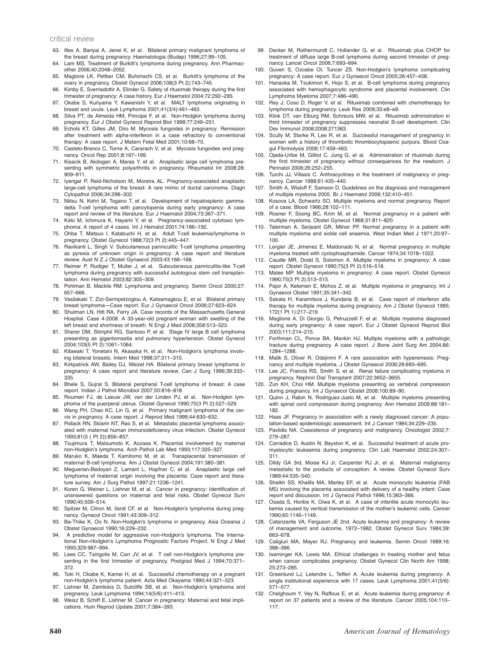- 63. Illes A, Banyai A, Jenei K, et al. Bilateral primary malignant lymphoma of the breast during pregnancy. Haematologia (Budap) 1996;27:99–105.
- 64. Lam MS. Treatment of Burkitt's lymphoma during pregnancy. Ann Pharmacother 2006;40:2048–2052.
- 65. Magloire LK, Pettker CM, Buhimschi CS, et al. Burkitt's lymphoma of the ovary in pregnancy. Obstet Gynecol 2006;108(3 Pt 2):743–745.
- 66. Kimby E, Sverrisdottir A, Elinder G. Safety of rituximab therapy during the first trimester of pregnancy: A case history. Eur J Haematol 2004;72:292–295.
- 67. Okabe S, Kuriyama Y, Kawanishi Y, et al. MALT lymphoma originating in breast and uvula. Leuk Lymphoma 2001;41(3/4):461–463.
- 68. Silva PT, de Almeida HM, Principe F, et al. Non-Hodgkin lymphoma during pregnancy. Eur J Obstet Gynecol Reprod Biol 1998;77:249–251.
- 69. Echols KT, Gilles JM, Diro M. Mycosis fungoides in pregnancy: Remission after treatment with alpha-interferon in a case refractory to conventional therapy: A case report. J Matern Fetal Med 2001;10:68–70.
- 70. Castelo-Branco C, Torne A, Cararach V, et al. Mycosis fungoides and pregnancy. Oncol Rep 2001;8:197–199.
- 71. Kisacik B, Akdogan A, Maras Y, et al. Anaplastic large cell lymphoma presenting with symmetric polyarthritis in pregnancy. Rheumatol Int 2008;28: 909–911.
- 72. Iyengar P, Reid-Nicholson M, Moreira AL. Pregnancy-associated anaplastic large-cell lymphoma of the breast: A rare mimic of ductal carcinoma. Diagn Cytopathol 2006;34:298–302.
- 73. Niitsu N, Kohri M, Togano T, et al. Development of hepatosplenic gammadelta T-cell lymphoma with pancytopenia during early pregnancy: A case report and review of the literature. Eur J Haematol 2004;73:367–371.
- 74. Kato M, Ichimura K, Hayami Y, et al. Pregnancy-associated cytotoxic lymphoma: A report of 4 cases. Int J Hematol 2001;74:186–192.
- 75. Ohba T, Matsuo I, Katabuchi H, et al. Adult T-cell leukemia/lymphoma in pregnancy. Obstet Gynecol 1988;72(3 Pt 2):445–447.
- 76. Ravikanti L, Singh V. Subcutaneous panniculitic T-cell lymphoma presenting as pyrexia of unknown origin in pregnancy: A case report and literature review. Aust N Z J Obstet Gynaecol 2003;43:166–168.
- Reimer P, Rudiger T, Muller J, et al. Subcutaneous panniculitis-like T-cell lymphoma during pregnancy with successful autologous stem cell transplantation. Ann Hematol 2003;82:305–309.
- 78. Pohlman B, Macklis RM. Lymphoma and pregnancy. Semin Oncol 2000;27: 657–666.
- 79. Vasilakaki T, Zizi-Sermpetzoglou A, Katsamagkou E, et al. Bilateral primary breast lymphoma—Case report. Eur J Gynaecol Oncol 2006;27:623–624.
- 80. Shulman LN, Hitt RA, Ferry JA. Case records of the Massachusetts General Hospital. Case 4-2008. A 33-year-old pregnant woman with swelling of the left breast and shortness of breath. N Engl J Med 2008;358:513–523.
- 81. Sherer DM, Stimphil RG, Santoso P, et al. Stage IV large B cell lymphoma presenting as gigantomastia and pulmonary hypertension. Obstet Gynecol 2004;103(5 Pt 2):1061–1064.
- 82. Kitawaki T, Yonetani N, Akasaka H, et al. Non-Hodgkin's lymphoma involving bilateral breasts. Intern Med 1998;37:311–315.
- 83. Kirkpatrick AW, Bailey DJ, Weizel HA. Bilateral primary breast lymphoma in pregnancy: A case report and literature review. Can J Surg 1996;39:333– 335.
- 84. Bhele S, Gujral S. Bilateral peripheral T-cell lymphoma of breast: A case report. Indian J Pathol Microbiol 2007;50:816–818.
- 85. Roumen FJ, de Leeuw JW, van der Linden PJ, et al. Non-Hodgkin lymphoma of the puerperal uterus. Obstet Gynecol 1990;75(3 Pt 2):527–529.
- 86. Wang PH, Chao KC, Lin G, et al. Primary malignant lymphoma of the cervix in pregnancy. A case report. J Reprod Med 1999;44:630–632.
- 87. Pollack RN, Sklarin NT, Rao S, et al. Metastatic placental lymphoma associated with maternal human immunodeficiency virus infection. Obstet Gynecol 1993;81(5 ( Pt 2)):856–857.
- 88. Tsujimura T, Matsumoto K, Aozasa K. Placental involvement by maternal non-Hodgkin's lymphoma. Arch Pathol Lab Med 1993;117:325–327.
- 89. Maruko K, Maeda T, Kamitomo M, et al. Transplacental transmission of maternal B-cell lymphoma. Am J Obstet Gynecol 2004;191:380–381.
- 90. Meguerian-Bedoyan Z, Lamant L, Hopfner C, et al. Anaplastic large cell lymphoma of maternal origin involving the placenta: Case report and literature survey. Am J Surg Pathol 1997;21:1236–1241.
- 91. Koren G, Weiner L, Lishner M, et al. Cancer in pregnancy: Identification of unanswered questions on maternal and fetal risks. Obstet Gynecol Surv 1990;45:509–514.
- 92. Spitzer M, Citron M, Ilardi CF, et al. Non-Hodgkin's lymphoma during pregnancy. Gynecol Oncol 1991;43:309–312.
- 93. Ba-Thike K, Oo N. Non-Hodgkin's lymphoma in pregnancy. Asia Oceania J Obstet Gynaecol 1990;16:229–232.
- A predictive model for aggressive non-Hodgkin's lymphoma. The International Non-Hodgkin's Lymphoma Prognostic Factors Project. N Engl J Med 1993;329:987–994.
- 95. Lees CC, Tsirigotis M, Carr JV, et al. T cell non-Hodgkin's lymphoma presenting in the first trimester of pregnancy. Postgrad Med J 1994;70:371– 372.
- 96. Toki H, Okabe K, Kamei H, et al. Successful chemotherapy on a pregnant non-Hodgkin's lymphoma patient. Acta Med Okayama 1990;44:321–323.
- 97. Lishner M, Zemlickis D, Sutcliffe SB, et al. Non-Hodgkin's lymphoma and pregnancy. Leuk Lymphoma 1994;14(5/6):411–413.
- 98. Weisz B, Schiff E, Lishner M. Cancer in pregnancy: Maternal and fetal implications. Hum Reprod Update 2001;7:384–393.
- 99. Decker M, Rothermundt C, Hollander G, et al. Rituximab plus CHOP for treatment of diffuse large B-cell lymphoma during second trimester of pregnancy. Lancet Oncol 2006;7:693–694.
- 100. Guven S, Ozcebe OI, Tuncer ZS. Non-Hodgkin's lymphoma complicating pregnancy: A case report. Eur J Gynaecol Oncol 2005;26:457–458.
- 101. Hanaoka M, Tsukimori K, Hojo S, et al. B-cell lymphoma during pregnancy associated with hemophagocytic syndrome and placental involvement. Clin Lymphoma Myeloma 2007;7:486–490.
- 102. Rey J, Coso D, Roger V, et al. Rituximab combined with chemotherapy for lymphoma during pregnancy. Leuk Res 2009;33:e8–e9.
- 103. Klink DT, van Elburg RM, Schreurs MW, et al. Rituximab administration in third trimester of pregnancy suppresses neonatal B-cell development. Clin Dev Immunol 2008;2008:271363.
- 104. Scully M, Starke R, Lee R, et al. Successful management of pregnancy in women with a history of thrombotic thrombocytopaenic purpura. Blood Coagul Fibrinolysis 2006;17:459–463.
- 105. Ojeda-Uribe M, Gilliot C, Jung G, et al. Administration of rituximab during the first trimester of pregnancy without consequences for the newborn. J Perinatol 2006;26:252–255.
- 106. Turchi JJ, Villasis C. Anthracyclines in the treatment of malignancy in pregnancy. Cancer 1988;61:435–440.
- 107. Smith A, Wisloff F, Samson D. Guidelines on the diagnosis and management of multiple myeloma 2005. Br J Haematol 2006;132:410–451.
- 108. Kosova LA, Schwartz SO. Multiple myeloma and normal pregnancy. Report of a case. Blood 1966;28:102–111.
- 109. Rosner F, Soong BC, Krim M, et al. Normal pregnancy in a patient with multiple myeloma. Obstet Gynecol 1968;31:811–820.
- 110. Talerman A, Serjeant GR, Milner PF. Normal pregnancy in a patient with multiple myeloma and sickle cell anaemia. West Indian Med J 1971;20:97– 100.
- 111. Lergier JE, Jimenez E, Maldonado N, et al. Normal pregnancy in multiple myeloma treated with cyclophosphamide. Cancer 1974;34:1018–1022.
- 112. Caudle MR, Dodd S, Solomon A. Multiple myeloma in pregnancy: A case report. Obstet Gynecol 1990;75(3 Pt 2):516–518.
- 113. Malee MP. Multiple myeloma in pregnancy: A case report. Obstet Gynecol 1990;75(3 Pt 2):513–515.
- 114. Pajor A, Kelemen E, Mohos Z, et al. Multiple myeloma in pregnancy. Int J Gynaecol Obstet 1991;35:341–342.
- 115. Sakata H, Karamitsos J, Kundaria B, et al. Case report of interferon alfa therapy for multiple myeloma during pregnancy. Am J Obstet Gynecol 1995; 172(1 Pt 1):217–219.
- 116. Maglione A, Di Giorgio G, Petruzzelli F, et al. Multiple myeloma diagnosed during early pregnancy: A case report. Eur J Obstet Gynecol Reprod Biol 2003;111:214–215.
- 117. Forthman CL, Ponce BA, Mankin HJ. Multiple myeloma with a pathologic fracture during pregnancy. A case report. J Bone Joint Surg Am 2004;86: 1284–1288.
- 118. Malik S, Oliver R, Odejinmi F. A rare association with hyperemesis: Pregnancy and multiple myeloma. J Obstet Gynaecol 2006;26:693–695.
- 119. Lee JC, Francis RS, Smith S, et al. Renal failure complicating myeloma in pregnancy. Nephrol Dial Transplant 2007;22:3652–3655.
- 120. Zun KH, Choi HM. Multiple myeloma presenting as vertebral compression during pregnancy. Int J Gynaecol Obstet 2008;100:89–90.
- 121. Quinn J, Rabin N, Rodriguez-Justo M, et al. Multiple myeloma presenting with spinal cord compression during pregnancy. Ann Hematol 2009;88:181– 182.
- 122. Haas JF. Pregnancy in association with a newly diagnosed cancer: A population-based epidemiologic assessment. Int J Cancer 1984;34:229–235.
- 123. Pavlidis NA. Coexistence of pregnancy and malignancy. Oncologist 2002;7: 279–287.
- 124. Carradice D, Austin N, Bayston K, et al. Successful treatment of acute promyelocytic leukaemia during pregnancy. Clin Lab Haematol 2002;24:307– 311.
- 125. Dildy GA 3rd, Moise KJ Jr, Carpenter RJ Jr, et al. Maternal malignancy metastatic to the products of conception: A review. Obstet Gynecol Surv 1989;44:535–540.
- 126. Sheikh SS, Khalifa MA, Marley EF, et al. Acute monocytic leukemia (FAB M5) involving the placenta associated with delivery of a healthy infant: Case report and discussion. Int J Gynecol Pathol 1996;15:363–366.
- 127. Osada S, Horibe K, Oiwa K, et al. A case of infantile acute monocytic leukemia caused by vertical transmission of the mother's leukemic cells. Cancer 1990;65:1146–1149.
- 128. Catanzarite VA, Ferguson JE 2nd. Acute leukemia and pregnancy: A review of management and outcome, 1972–1982. Obstet Gynecol Surv 1984;39: 663–678.
- 129. Caligiuri MA, Mayer RJ. Pregnancy and leukemia. Semin Oncol 1989;16: 388–396.
- 130. Iseminger KA, Lewis MA. Ethical challenges in treating mother and fetus when cancer complicates pregnancy. Obstet Gynecol Clin North Am 1998; 25:273–285.
- 131. Greenlund LJ, Letendre L, Tefferi A. Acute leukemia during pregnancy: A single institutional experience with 17 cases. Leuk Lymphoma 2001;41(5/6): 571–577.
- 132. Chelghoum Y, Vey N, Raffoux E, et al. Acute leukemia during pregnancy: A report on 37 patients and a review of the literature. Cancer 2005;104:110– 117.